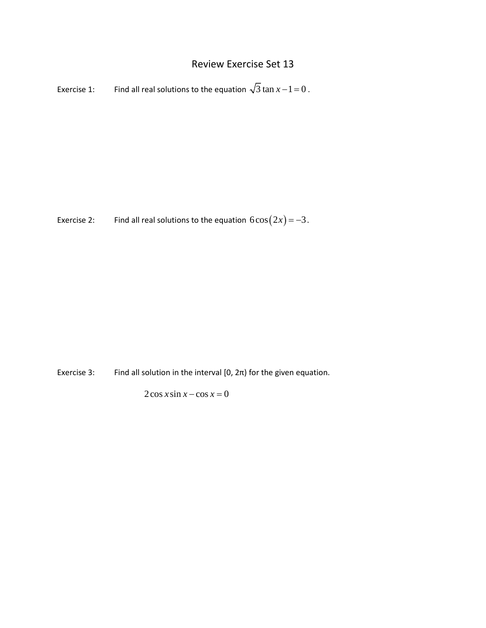## Review Exercise Set 13

Exercise 1: Find all real solutions to the equation  $\sqrt{3} \tan x - 1 = 0$ .

Exercise 2: Find all real solutions to the equation  $6\cos(2x) = -3$ .

Exercise 3: Find all solution in the interval  $[0, 2\pi)$  for the given equation.

 $2\cos x \sin x - \cos x = 0$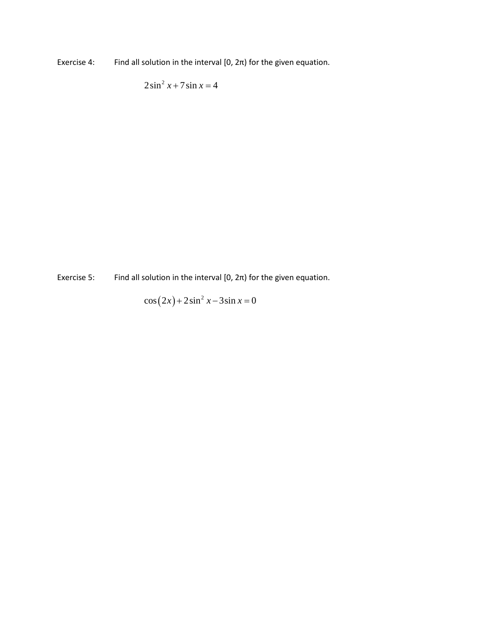Exercise 4: Find all solution in the interval  $[0, 2\pi)$  for the given equation.

 $2\sin^2 x + 7\sin x = 4$ 

Exercise 5: Find all solution in the interval  $[0, 2\pi)$  for the given equation.

 $\cos(2x) + 2\sin^2 x - 3\sin x = 0$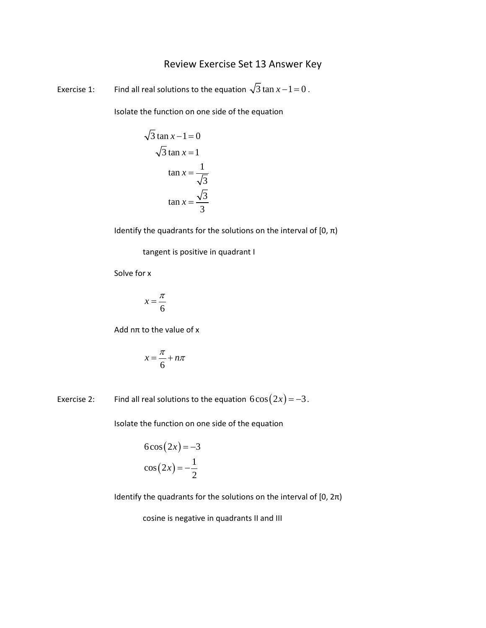## Review Exercise Set 13 Answer Key

Exercise 1: Find all real solutions to the equation  $\sqrt{3} \tan x - 1 = 0$ .

Isolate the function on one side of the equation

$$
\sqrt{3} \tan x - 1 = 0
$$
  

$$
\sqrt{3} \tan x = 1
$$
  

$$
\tan x = \frac{1}{\sqrt{3}}
$$
  

$$
\tan x = \frac{\sqrt{3}}{3}
$$

Identify the quadrants for the solutions on the interval of  $[0, \pi)$ 

tangent is positive in quadrant I

Solve for x

$$
x = \frac{\pi}{6}
$$

Add nπ to the value of x

$$
x = \frac{\pi}{6} + n\pi
$$

Exercise 2: Find all real solutions to the equation  $6\cos(2x) = -3$ .

Isolate the function on one side of the equation

$$
6\cos(2x) = -3
$$

$$
\cos(2x) = -\frac{1}{2}
$$

Identify the quadrants for the solutions on the interval of  $[0, 2\pi)$ 

cosine is negative in quadrants II and III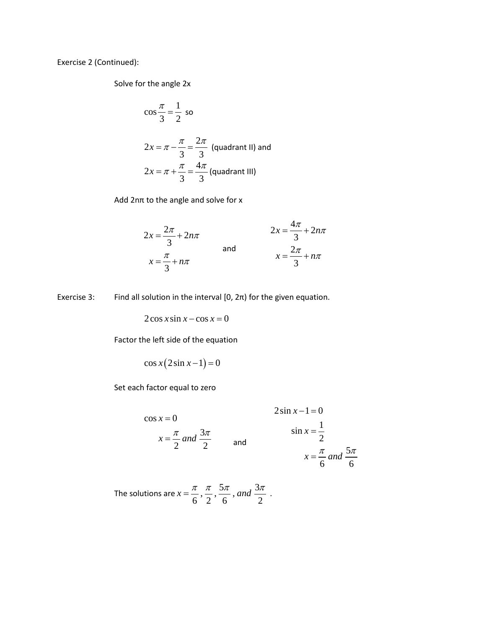Exercise 2 (Continued):

Solve for the angle 2x

$$
\cos\frac{\pi}{3} = \frac{1}{2} \text{ so}
$$
  
2x =  $\pi - \frac{\pi}{3} = \frac{2\pi}{3}$  (quadrant II) and  
2x =  $\pi + \frac{\pi}{3} = \frac{4\pi}{3}$  (quadrant III)

Add 2nπ to the angle and solve for x

$$
2x = \frac{2\pi}{3} + 2n\pi
$$
  
and  

$$
x = \frac{\pi}{3} + n\pi
$$
  
and  

$$
x = \frac{2\pi}{3} + n\pi
$$

Exercise 3: Find all solution in the interval  $[0, 2\pi)$  for the given equation.

 $2\cos x \sin x - \cos x = 0$ 

Factor the left side of the equation

$$
\cos x (2\sin x - 1) = 0
$$

Set each factor equal to zero

$$
\cos x = 0
$$
  
 
$$
x = \frac{\pi}{2} \text{ and } \frac{3\pi}{2} \qquad \text{and} \qquad \qquad \sin x = \frac{1}{2}
$$
  
 
$$
x = \frac{\pi}{6} \text{ and } \frac{5\pi}{6}
$$

The solutions are  $x = \frac{\pi}{6}, \frac{\pi}{2}, \frac{5\pi}{6},$  and  $\frac{3\pi}{2}$ .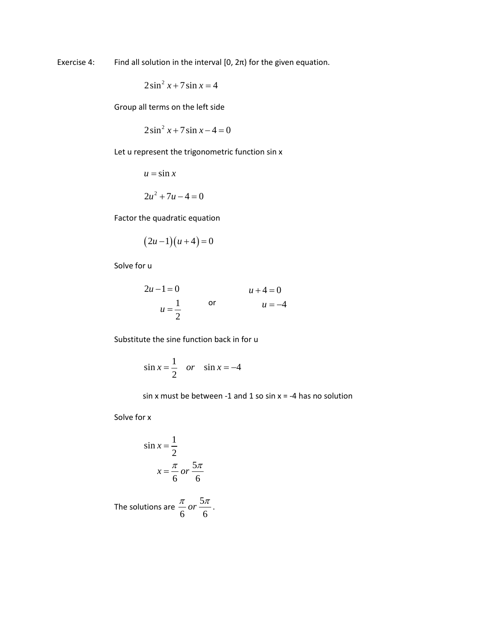Exercise 4: Find all solution in the interval  $[0, 2\pi)$  for the given equation.

$$
2\sin^2 x + 7\sin x = 4
$$

Group all terms on the left side

$$
2\sin^2 x + 7\sin x - 4 = 0
$$

Let u represent the trigonometric function sin x

 $u = \sin x$ 

$$
2u^2 + 7u - 4 = 0
$$

Factor the quadratic equation

$$
(2u-1)(u+4)=0
$$

Solve for u

$$
2u - 1 = 0 \n u = \frac{1}{2} \qquad \text{or} \qquad \qquad u + 4 = 0 \n u = -4
$$

Substitute the sine function back in for u

$$
\sin x = \frac{1}{2} \quad or \quad \sin x = -4
$$

sin x must be between -1 and 1 so sin  $x = -4$  has no solution

Solve for x

$$
\sin x = \frac{1}{2}
$$

$$
x = \frac{\pi}{6} \text{ or } \frac{5\pi}{6}
$$

The solutions are  $\frac{\pi}{6}$  or  $\frac{5}{6}$ 6 6  $\frac{\pi}{\epsilon}$  or  $\frac{5\pi}{\epsilon}$ .